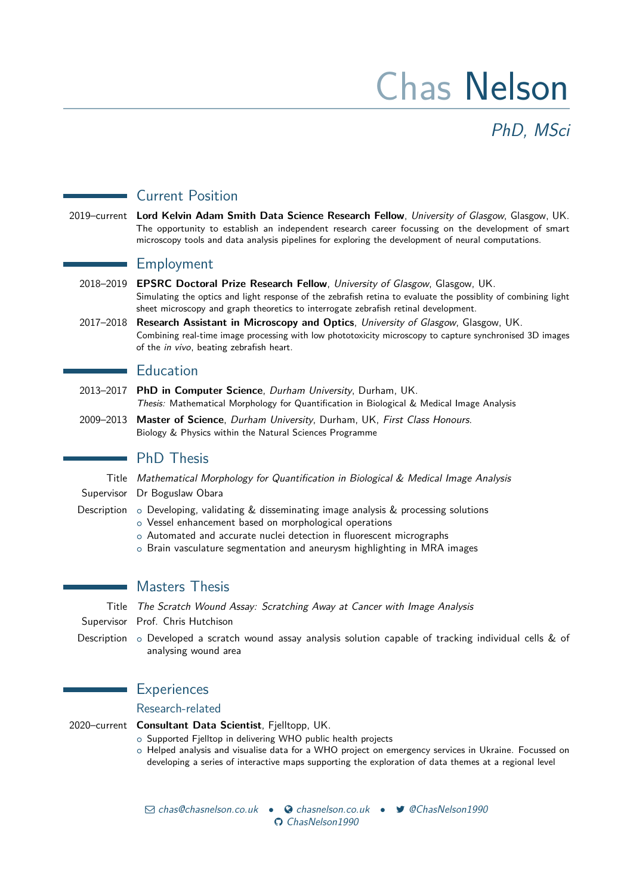# Chas Nelson

PhD, MSci

# Current Position

2019–current **Lord Kelvin Adam Smith Data Science Research Fellow**, University of Glasgow, Glasgow, UK. The opportunity to establish an independent research career focussing on the development of smart microscopy tools and data analysis pipelines for exploring the development of neural computations.

## Employment

- 2018–2019 **EPSRC Doctoral Prize Research Fellow**, University of Glasgow, Glasgow, UK. Simulating the optics and light response of the zebrafish retina to evaluate the possiblity of combining light sheet microscopy and graph theoretics to interrogate zebrafish retinal development.
- 2017–2018 **Research Assistant in Microscopy and Optics**, University of Glasgow, Glasgow, UK. Combining real-time image processing with low phototoxicity microscopy to capture synchronised 3D images of the in vivo, beating zebrafish heart.

## **Education**

- 2013–2017 **PhD in Computer Science**, Durham University, Durham, UK. Thesis: Mathematical Morphology for Quantification in Biological & Medical Image Analysis
- 2009–2013 **Master of Science**, Durham University, Durham, UK, First Class Honours. Biology & Physics within the Natural Sciences Programme

## **PhD Thesis**

Title Mathematical Morphology for Quantification in Biological & Medical Image Analysis

- Supervisor Dr Boguslaw Obara
- Description  $\circ$  Developing, validating & disseminating image analysis & processing solutions
	- o Vessel enhancement based on morphological operations
	- o Automated and accurate nuclei detection in fluorescent micrographs
	- o Brain vasculature segmentation and aneurysm highlighting in MRA images

Masters Thesis

Title The Scratch Wound Assay: Scratching Away at Cancer with Image Analysis

Supervisor Prof. Chris Hutchison

Description  $\circ$  Developed a scratch wound assay analysis solution capable of tracking individual cells & of analysing wound area

## **Experiences**

#### Research-related

2020–current **Consultant Data Scientist**, Fjelltopp, UK.

o Supported Fjelltop in delivering WHO public health projects

o Helped analysis and visualise data for a WHO project on emergency services in Ukraine. Focussed on developing a series of interactive maps supporting the exploration of data themes at a regional level

 $\boxtimes$  [chas@chasnelson.co.uk](mailto:chas@chasnelson.co.uk) •  $\bullet$  [chasnelson.co.uk](http://chasnelson.co.uk) •  $\blacktriangleright$  [@ChasNelson1990](http://www.twitter.com/@ChasNelson1990) [ChasNelson1990](http://www.github.com/ChasNelson1990)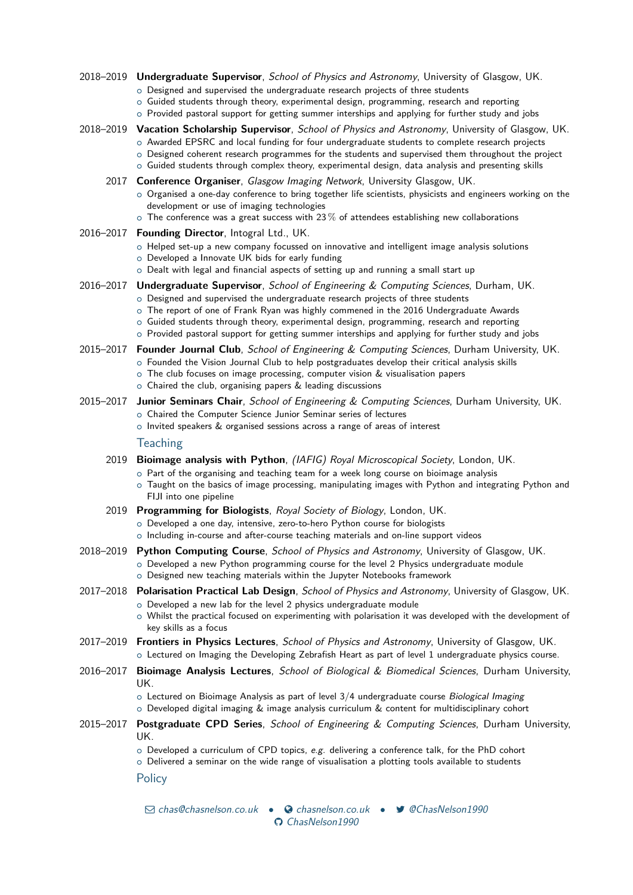- 2018–2019 **Undergraduate Supervisor**, School of Physics and Astronomy, University of Glasgow, UK.
	- o Designed and supervised the undergraduate research projects of three students
	- o Guided students through theory, experimental design, programming, research and reporting
	- $\circ$  Provided pastoral support for getting summer interships and applying for further study and jobs

#### 2018–2019 **Vacation Scholarship Supervisor**, School of Physics and Astronomy, University of Glasgow, UK. o Awarded EPSRC and local funding for four undergraduate students to complete research projects

- o Designed coherent research programmes for the students and supervised them throughout the project
- o Guided students through complex theory, experimental design, data analysis and presenting skills

#### 2017 **Conference Organiser**, Glasgow Imaging Network, University Glasgow, UK.

- o Organised a one-day conference to bring together life scientists, physicists and engineers working on the development or use of imaging technologies
- $\circ$  The conference was a great success with 23 % of attendees establishing new collaborations

#### 2016–2017 **Founding Director**, Intogral Ltd., UK.

- o Helped set-up a new company focussed on innovative and intelligent image analysis solutions
- o Developed a Innovate UK bids for early funding
- o Dealt with legal and financial aspects of setting up and running a small start up
- 2016–2017 **Undergraduate Supervisor**, School of Engineering & Computing Sciences, Durham, UK.
	- o Designed and supervised the undergraduate research projects of three students
	- o The report of one of Frank Ryan was highly commened in the 2016 Undergraduate Awards
	- $\circ$  Guided students through theory, experimental design, programming, research and reporting
	- o Provided pastoral support for getting summer interships and applying for further study and jobs

#### 2015–2017 **Founder Journal Club**, School of Engineering & Computing Sciences, Durham University, UK.

- o Founded the Vision Journal Club to help postgraduates develop their critical analysis skills
- o The club focuses on image processing, computer vision & visualisation papers
- $\circ$  Chaired the club, organising papers & leading discussions

# 2015–2017 **Junior Seminars Chair**, School of Engineering & Computing Sciences, Durham University, UK.

- o Chaired the Computer Science Junior Seminar series of lectures
- $\circ$  Invited speakers & organised sessions across a range of areas of interest

#### **Teaching**

- 2019 **Bioimage analysis with Python**, (IAFIG) Royal Microscopical Society, London, UK.
	- o Part of the organising and teaching team for a week long course on bioimage analysis
	- o Taught on the basics of image processing, manipulating images with Python and integrating Python and FIJI into one pipeline
- 2019 **Programming for Biologists**, Royal Society of Biology, London, UK.
	- o Developed a one day, intensive, zero-to-hero Python course for biologists
	- o Including in-course and after-course teaching materials and on-line support videos

#### 2018–2019 **Python Computing Course**, School of Physics and Astronomy, University of Glasgow, UK.

- o Developed a new Python programming course for the level 2 Physics undergraduate module o Designed new teaching materials within the Jupyter Notebooks framework
- 2017–2018 **Polarisation Practical Lab Design**, School of Physics and Astronomy, University of Glasgow, UK.
	- o Developed a new lab for the level 2 physics undergraduate module
	- o Whilst the practical focused on experimenting with polarisation it was developed with the development of key skills as a focus
- 2017–2019 **Frontiers in Physics Lectures**, School of Physics and Astronomy, University of Glasgow, UK. o Lectured on Imaging the Developing Zebrafish Heart as part of level 1 undergraduate physics course.
- 2016–2017 **Bioimage Analysis Lectures**, School of Biological & Biomedical Sciences, Durham University, UK.
	- $\circ$  Lectured on Bioimage Analysis as part of level  $3/4$  undergraduate course Biological Imaging
	- $\circ$  Developed digital imaging & image analysis curriculum & content for multidisciplinary cohort
- 2015–2017 **Postgraduate CPD Series**, School of Engineering & Computing Sciences, Durham University, UK.
	- $\circ$  Developed a curriculum of CPD topics, e.g. delivering a conference talk, for the PhD cohort
	- $\circ$  Delivered a seminar on the wide range of visualisation a plotting tools available to students

**Policy** 

 $\boxtimes$  [chas@chasnelson.co.uk](mailto:chas@chasnelson.co.uk) •  $\bullet$  [chasnelson.co.uk](http://chasnelson.co.uk) •  $\blacktriangleright$  [@ChasNelson1990](http://www.twitter.com/@ChasNelson1990) [ChasNelson1990](http://www.github.com/ChasNelson1990)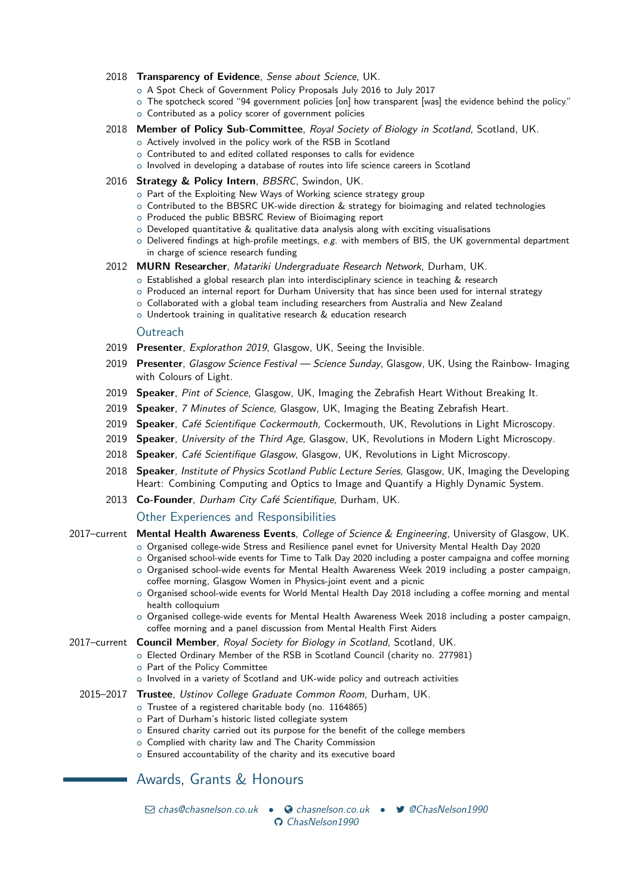#### 2018 **Transparency of Evidence**, Sense about Science, UK.

- o A Spot Check of Government Policy Proposals July 2016 to July 2017
- o The spotcheck scored "94 government policies [on] how transparent [was] the evidence behind the policy." o Contributed as a policy scorer of government policies
- 2018 **Member of Policy Sub-Committee**, Royal Society of Biology in Scotland, Scotland, UK.
	- o Actively involved in the policy work of the RSB in Scotland
	- o Contributed to and edited collated responses to calls for evidence
	- o Involved in developing a database of routes into life science careers in Scotland

#### 2016 **Strategy & Policy Intern**, BBSRC, Swindon, UK.

- o Part of the Exploiting New Ways of Working science strategy group
- $\circ$  Contributed to the BBSRC UK-wide direction & strategy for bioimaging and related technologies
- o Produced the public BBSRC Review of Bioimaging report
- $\circ$  Developed quantitative  $\&$  qualitative data analysis along with exciting visualisations
- $\circ$  Delivered findings at high-profile meetings, e.g. with members of BIS, the UK governmental department in charge of science research funding
- 2012 **MURN Researcher**, Matariki Undergraduate Research Network, Durham, UK.
	- $\circ$  Established a global research plan into interdisciplinary science in teaching & research
	- o Produced an internal report for Durham University that has since been used for internal strategy
	- o Collaborated with a global team including researchers from Australia and New Zealand
	- o Undertook training in qualitative research & education research

#### **Outreach**

- 2019 **Presenter**, Explorathon 2019, Glasgow, UK, [Seeing the Invisible.](https://www.explorathon.co.uk/glasgow/)
- 2019 **Presenter**, Glasgow Science Festival Science Sunday, Glasgow, UK, [Using the Rainbow- Imaging](https://www.gla.ac.uk/events/sciencefestival/glasgowsciencefestival2018/allages/sciencesunday2018/) [with Colours of Light.](https://www.gla.ac.uk/events/sciencefestival/glasgowsciencefestival2018/allages/sciencesunday2018/)
- 2019 **Speaker**, Pint of Science, Glasgow, UK, [Imaging the Zebrafish Heart Without Breaking It.](https://pintofscience.co.uk/event/the-hidden-world-of-imaging)
- 2019 **Speaker**, 7 Minutes of Science, Glasgow, UK, [Imaging the Beating Zebrafish Heart.](https://www.eventbrite.co.uk/e/7-minutes-of-science-tickets-54718322977)
- 2019 **Speaker**, Café Scientifique Cockermouth, Cockermouth, UK, [Revolutions in Light Microscopy.](http://www.cafescientifique.org/index.php?option=com_contentbuilder&controller=details&id=1&record_id=145&Itemid=478)
- 2019 **Speaker**, University of the Third Age, Glasgow, UK, [Revolutions in Modern Light Microscopy.](https://u3asites.org.uk/bam/page/57490)
- 2018 **Speaker**, Café Scientifique Glasgow, Glasgow, UK, [Revolutions in Light Microscopy.](https://www.gla.ac.uk/events/cafescientifique/events/revolutionsinlightmicroscopy/)
- 2018 **Speaker**, Institute of Physics Scotland Public Lecture Series, Glasgow, UK, [Imaging the Developing](https://www.events.iop.org/e/iops-public-lecture-series-glasgow-36dbf71a72a645329cdd35da37a512d9/page.html) [Heart: Combining Computing and Optics to Image and Quantify a Highly Dynamic System.](https://www.events.iop.org/e/iops-public-lecture-series-glasgow-36dbf71a72a645329cdd35da37a512d9/page.html)
- 2013 **Co-Founder**, Durham City Café Scientifique, Durham, UK.

#### Other Experiences and Responsibilities

- 2017–current **Mental Health Awareness Events**, College of Science & Engineering, University of Glasgow, UK.
	- o Organised college-wide Stress and Resilience panel evnet for University Mental Health Day 2020
	- o Organised school-wide events for Time to Talk Day 2020 including a poster campaigna and coffee morning o Organised school-wide events for Mental Health Awareness Week 2019 including a poster campaign,
	- coffee morning, Glasgow Women in Physics-joint event and a picnic o Organised school-wide events for World Mental Health Day 2018 including a coffee morning and mental
	- health colloquium o Organised college-wide events for Mental Health Awareness Week 2018 including a poster campaign, coffee morning and a panel discussion from Mental Health First Aiders

#### 2017–current **Council Member**, Royal Society for Biology in Scotland, Scotland, UK.

- o Elected Ordinary Member of the RSB in Scotland Council (charity no. 277981)
- o Part of the Policy Committee
- o Involved in a variety of Scotland and UK-wide policy and outreach activities
- 2015–2017 **Trustee**, Ustinov College Graduate Common Room, Durham, UK.
	- o Trustee of a registered charitable body (no. 1164865)
	- o Part of Durham's historic listed collegiate system
	- o Ensured charity carried out its purpose for the benefit of the college members
	- o Complied with charity law and The Charity Commission
	- o Ensured accountability of the charity and its executive board

## Awards, Grants & Honours

 $\boxtimes$  [chas@chasnelson.co.uk](mailto:chas@chasnelson.co.uk) •  $\bullet$  [chasnelson.co.uk](http://chasnelson.co.uk) •  $\blacktriangleright$  [@ChasNelson1990](http://www.twitter.com/@ChasNelson1990) [ChasNelson1990](http://www.github.com/ChasNelson1990)